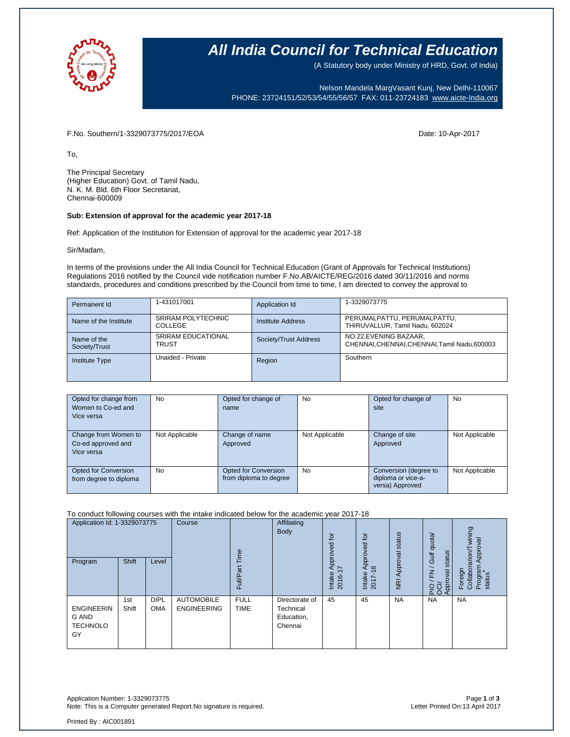

### **All India Council for Technical Education**

(A Statutory body under Ministry of HRD, Govt. of India)

Nelson Mandela MargVasant Kunj, New Delhi-110067 PHONE: 23724151/52/53/54/55/56/57 FAX: 011-23724183 [www.aicte-India.org](http://www.aicte-india.org/)

F.No. Southern/1-3329073775/2017/EOA Date: 10-Apr-2017

To,

The Principal Secretary (Higher Education) Govt. of Tamil Nadu, N. K. M. Bld. 6th Floor Secretariat, Chennai-600009

#### **Sub: Extension of approval for the academic year 2017-18**

Ref: Application of the Institution for Extension of approval for the academic year 2017-18

Sir/Madam,

In terms of the provisions under the All India Council for Technical Education (Grant of Approvals for Technical Institutions) Regulations 2016 notified by the Council vide notification number F.No.AB/AICTE/REG/2016 dated 30/11/2016 and norms standards, procedures and conditions prescribed by the Council from time to time, I am directed to convey the approval to

| Permanent Id                 | 1-431017001                        | Application Id        | 1-3329073775                                                            |
|------------------------------|------------------------------------|-----------------------|-------------------------------------------------------------------------|
| Name of the Institute        | SRIRAM POLYTECHNIC<br>COLLEGE      | Institute Address     | PERUMALPATTU, PERUMALPATTU,<br>THIRUVALLUR, Tamil Nadu, 602024          |
| Name of the<br>Society/Trust | <b>SRIRAM EDUCATIONAL</b><br>TRUST | Society/Trust Address | NO.22, EVENING BAZAAR,<br>CHENNAI, CHENNAI, CHENNAI, Tamil Nadu, 600003 |
| <b>Institute Type</b>        | Unaided - Private                  | Region                | Southern                                                                |

| Opted for change from<br>Women to Co-ed and<br>Vice versa | <b>No</b>      | Opted for change of<br>name                    | <b>No</b>      | Opted for change of<br>site                                    | No             |
|-----------------------------------------------------------|----------------|------------------------------------------------|----------------|----------------------------------------------------------------|----------------|
| Change from Women to<br>Co-ed approved and<br>Vice versa  | Not Applicable | Change of name<br>Approved                     | Not Applicable | Change of site<br>Approved                                     | Not Applicable |
| <b>Opted for Conversion</b><br>from degree to diploma     | <b>No</b>      | Opted for Conversion<br>from diploma to degree | <b>No</b>      | Conversion (degree to<br>diploma or vice-a-<br>versa) Approved | Not Applicable |

#### To conduct following courses with the intake indicated below for the academic year 2017-18

| Application Id: 1-3329073775<br>Program             | Shift        | Level                     | Course                                  | Time<br><b>Full/Part</b>   | Affiliating<br><b>Body</b>                           | tor<br>요<br>õ<br>ĀPI<br>7<br>Intake<br>2016-1 | $\overline{a}$<br>공<br>ö<br>å<br>$\infty$<br>⋖<br>Intake<br>2017- | status<br>Approval<br>$\overline{g}$ | Gulf quota/<br>status<br>$\geq$<br>Approval<br>$\frac{5}{20}$ | wining<br>Approval<br>rarion/T<br>Program<br>status<br>Collabor<br>Foreign |
|-----------------------------------------------------|--------------|---------------------------|-----------------------------------------|----------------------------|------------------------------------------------------|-----------------------------------------------|-------------------------------------------------------------------|--------------------------------------|---------------------------------------------------------------|----------------------------------------------------------------------------|
| <b>ENGINEERIN</b><br>G AND<br><b>TECHNOLO</b><br>GY | 1st<br>Shift | <b>DIPL</b><br><b>OMA</b> | <b>AUTOMOBILE</b><br><b>ENGINEERING</b> | <b>FULL</b><br><b>TIME</b> | Directorate of<br>Technical<br>Education,<br>Chennai | 45                                            | 45                                                                | <b>NA</b>                            | <b>NA</b>                                                     | <b>NA</b>                                                                  |

Application Number: 1-3329073775 Page **1** of **3** Note: This is a Computer generated Report.No signature is required.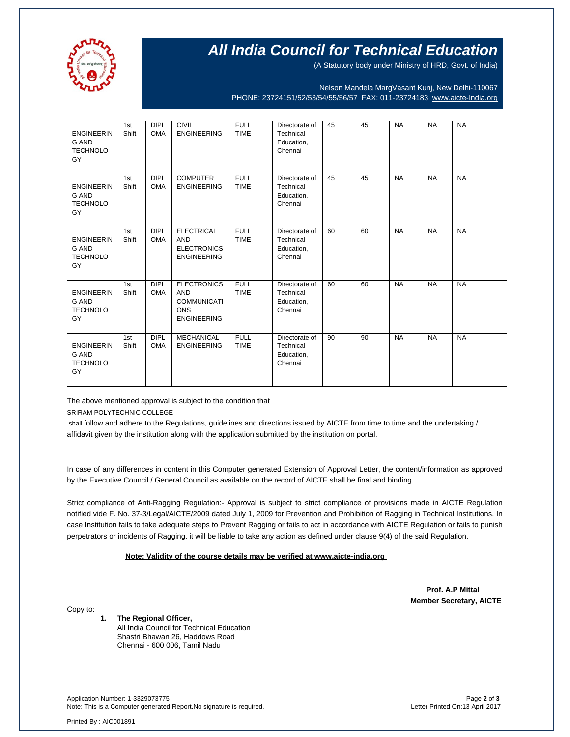

# **All India Council for Technical Education**

(A Statutory body under Ministry of HRD, Govt. of India)

Nelson Mandela MargVasant Kunj, New Delhi-110067 PHONE: 23724151/52/53/54/55/56/57 FAX: 011-23724183 [www.aicte-India.org](http://www.aicte-india.org/)

| <b>ENGINEERIN</b><br><b>G AND</b><br><b>TECHNOLO</b><br>GY | 1st<br>Shift | <b>DIPL</b><br><b>OMA</b> | <b>CIVIL</b><br><b>ENGINEERING</b>                                                         | <b>FULL</b><br><b>TIME</b> | Directorate of<br>Technical<br>Education,<br>Chennai | 45 | 45 | <b>NA</b> | <b>NA</b> | <b>NA</b> |
|------------------------------------------------------------|--------------|---------------------------|--------------------------------------------------------------------------------------------|----------------------------|------------------------------------------------------|----|----|-----------|-----------|-----------|
| <b>ENGINEERIN</b><br><b>G AND</b><br><b>TECHNOLO</b><br>GY | 1st<br>Shift | <b>DIPL</b><br><b>OMA</b> | <b>COMPUTER</b><br><b>ENGINEERING</b>                                                      | <b>FULL</b><br><b>TIME</b> | Directorate of<br>Technical<br>Education,<br>Chennai | 45 | 45 | <b>NA</b> | <b>NA</b> | <b>NA</b> |
| <b>ENGINEERIN</b><br><b>G AND</b><br><b>TECHNOLO</b><br>GY | 1st<br>Shift | <b>DIPL</b><br><b>OMA</b> | <b>ELECTRICAL</b><br><b>AND</b><br><b>ELECTRONICS</b><br><b>ENGINEERING</b>                | <b>FULL</b><br><b>TIME</b> | Directorate of<br>Technical<br>Education,<br>Chennai | 60 | 60 | <b>NA</b> | <b>NA</b> | <b>NA</b> |
| <b>ENGINEERIN</b><br><b>G AND</b><br><b>TECHNOLO</b><br>GY | 1st<br>Shift | <b>DIPL</b><br><b>OMA</b> | <b>ELECTRONICS</b><br><b>AND</b><br><b>COMMUNICATI</b><br><b>ONS</b><br><b>ENGINEERING</b> | <b>FULL</b><br><b>TIME</b> | Directorate of<br>Technical<br>Education,<br>Chennai | 60 | 60 | <b>NA</b> | <b>NA</b> | <b>NA</b> |
| <b>ENGINEERIN</b><br><b>G AND</b><br><b>TECHNOLO</b><br>GY | 1st<br>Shift | <b>DIPL</b><br><b>OMA</b> | <b>MECHANICAL</b><br><b>ENGINEERING</b>                                                    | <b>FULL</b><br><b>TIME</b> | Directorate of<br>Technical<br>Education,<br>Chennai | 90 | 90 | <b>NA</b> | <b>NA</b> | <b>NA</b> |

The above mentioned approval is subject to the condition that

SRIRAM POLYTECHNIC COLLEGE

shall follow and adhere to the Regulations, guidelines and directions issued by AICTE from time to time and the undertaking / affidavit given by the institution along with the application submitted by the institution on portal.

In case of any differences in content in this Computer generated Extension of Approval Letter, the content/information as approved by the Executive Council / General Council as available on the record of AICTE shall be final and binding.

Strict compliance of Anti-Ragging Regulation:- Approval is subject to strict compliance of provisions made in AICTE Regulation notified vide F. No. 37-3/Legal/AICTE/2009 dated July 1, 2009 for Prevention and Prohibition of Ragging in Technical Institutions. In case Institution fails to take adequate steps to Prevent Ragging or fails to act in accordance with AICTE Regulation or fails to punish perpetrators or incidents of Ragging, it will be liable to take any action as defined under clause 9(4) of the said Regulation.

### **Note: Validity of the course details may be verified at www.aicte-india.org**

 **Prof. A.P Mittal Member Secretary, AICTE**

Copy to:

**1. The Regional Officer,** All India Council for Technical Education Shastri Bhawan 26, Haddows Road Chennai - 600 006, Tamil Nadu